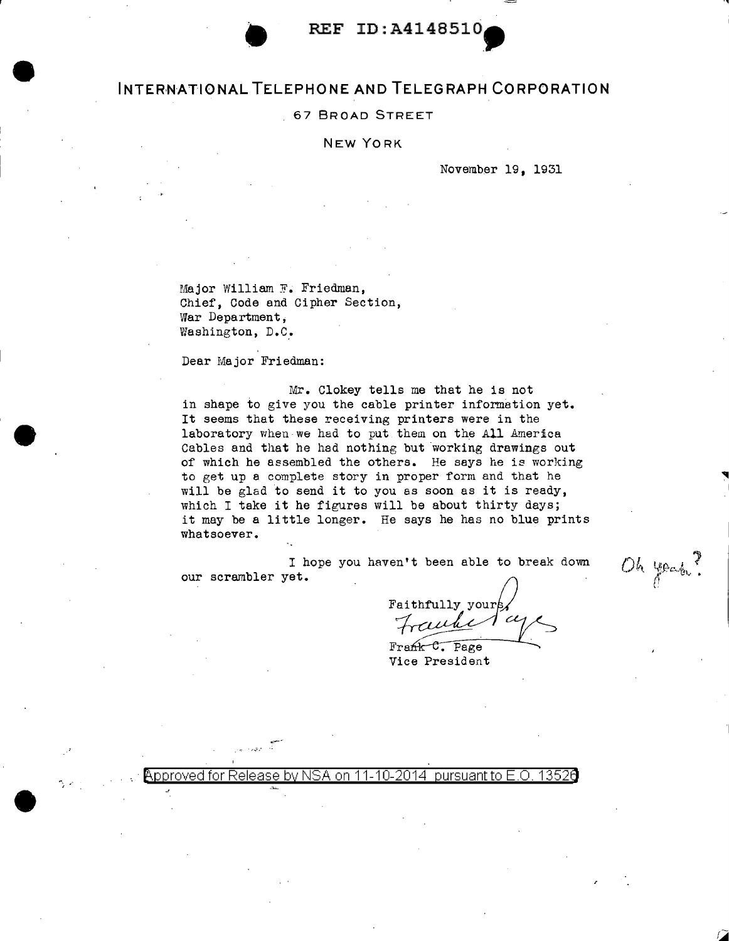## **INTERNATIONAL TELEPHONE AND TELEGRAPH CORPORATION**

### 67 BROAD STREET

### NEW YORK

November 19, 1931

.,

Oh your?

Major William F. Friedman, Chief, Code and Cipher Section, War Department, Washington, D.C.

Dear Major Friedman:

Mr. Clokey tells me that he is not in shape to give you the cable printer information yet. It seems that these receiving printers were in the laboratory when we had to put them on the All America Cables and that he had nothing but working drawings out of which he assembled the others. He says he is working to get up a complete story in proper form and that he will be glad to send it to you as soon as it is ready, which I take it he figures will be about thirty days; it may be a little longer. He says he has no blue prints whatsoever.

I hope you haven't been able to break down our scrambler yet.

Faithfully your uhe

Frank C. Page Vice President

 $\lambda$ pproved for Release by NSA on 11-10-2014 pursuant to E O  $\,$  1352 $\,$ 

~--